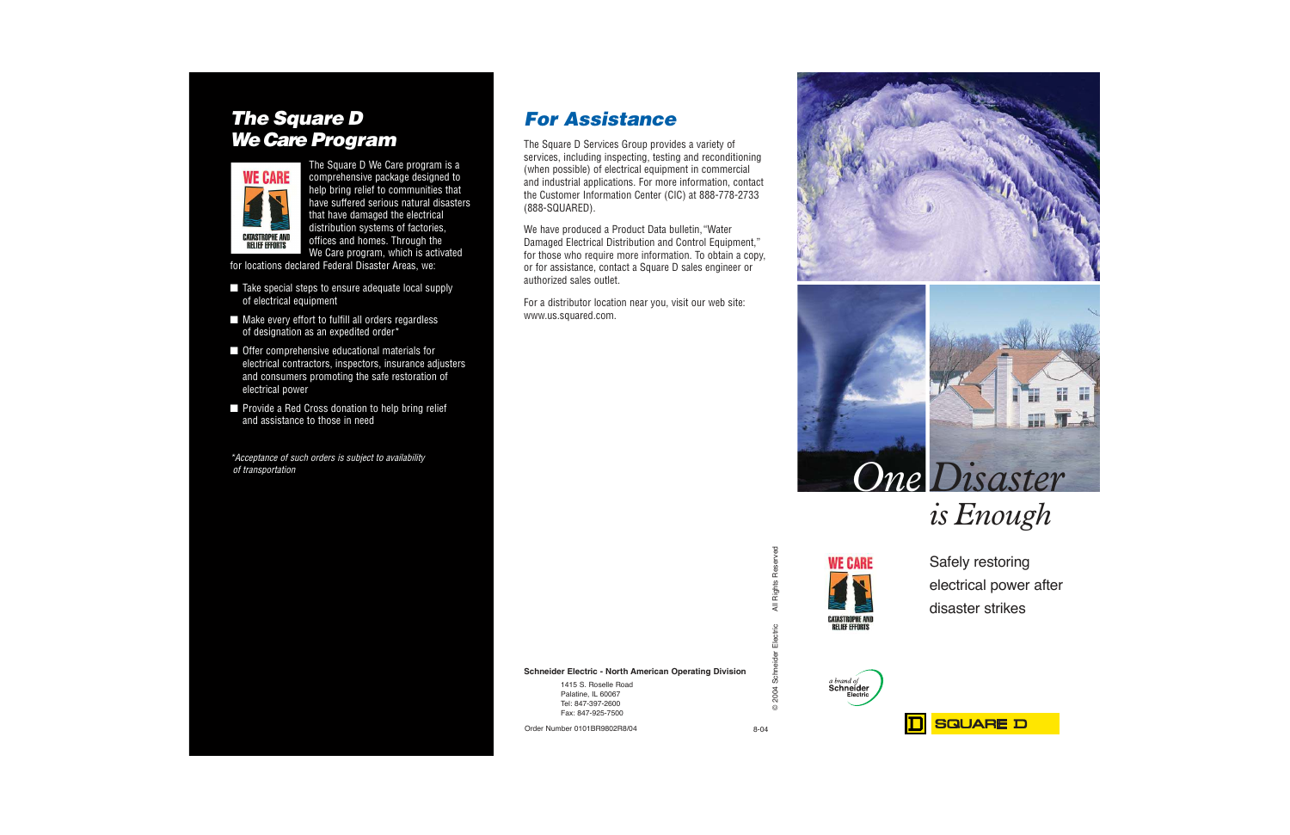## The Square D We Care Program



The Square D We Care program is a comprehensive package designed to help bring relief to communities that have suffered serious natural disasters that have damaged the electrical distribution systems of factories, offices and homes. Through the We Care program, which is activated

for locations declared Federal Disaster Areas, we:

- Take special steps to ensure adequate local supply of electrical equipment
- Make every effort to fulfill all orders regardless of designation as an expedited order\*
- Offer comprehensive educational materials for electrical contractors, inspectors, insurance adjusters and consumers promoting the safe restoration of electrical power
- Provide a Red Cross donation to help bring relief and assistance to those in need

\*Acceptance of such orders is subject to availability of transportation

# For Assistance

The Square D Services Group provides a variety of services, including inspecting, testing and reconditioning (when possible) of electrical equipment in commercial and industrial applications. For more information, contact the Customer Information Center (CIC) at 888-778-2733 (888-SQUARED).

We have produced a Product Data bulletin,"Water Damaged Electrical Distribution and Control Equipment," for those who require more information. To obtain a copy, or for assistance, contact a Square D sales engineer or authorized sales outlet.

For a distributor location near you, visit our web site: www.us.squared.com.







a brand of

Schneider

Safely restoring electrical power after disaster strikes

**Schneider Electric - North American Operating Division**

1415 S. Roselle Road Palatine, IL 60067 Tel: 847-397-2600 Fax: 847-925-7500

Order Number 0101BR9802R8/04 8-04

©

2004

2004 Schneider Electric All Rights Reserved

Electric

Schneider

**Rights Reserved** 

 $\overline{a}$